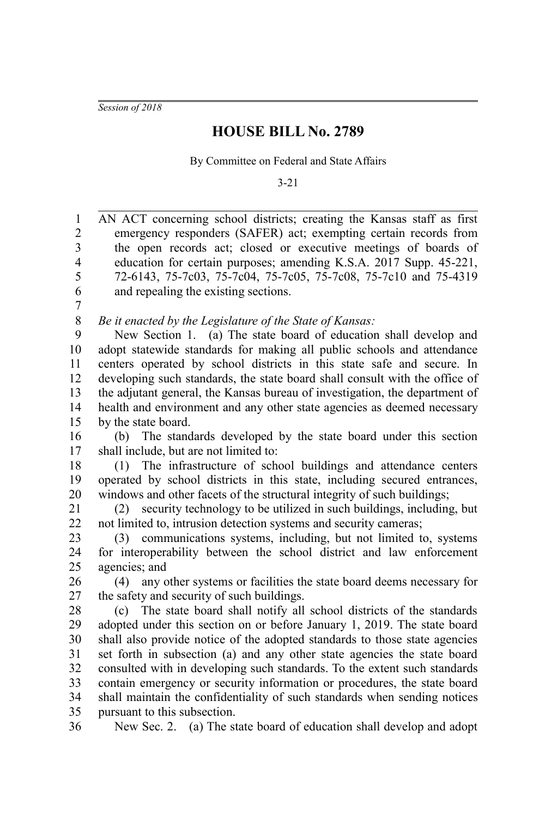*Session of 2018*

## **HOUSE BILL No. 2789**

By Committee on Federal and State Affairs

3-21

AN ACT concerning school districts; creating the Kansas staff as first emergency responders (SAFER) act; exempting certain records from the open records act; closed or executive meetings of boards of education for certain purposes; amending K.S.A. 2017 Supp. 45-221, 72-6143, 75-7c03, 75-7c04, 75-7c05, 75-7c08, 75-7c10 and 75-4319 and repealing the existing sections. 1 2 3 4 5 6

7

*Be it enacted by the Legislature of the State of Kansas:* 8

New Section 1. (a) The state board of education shall develop and adopt statewide standards for making all public schools and attendance centers operated by school districts in this state safe and secure. In developing such standards, the state board shall consult with the office of the adjutant general, the Kansas bureau of investigation, the department of health and environment and any other state agencies as deemed necessary by the state board. 9 10 11 12 13 14 15

(b) The standards developed by the state board under this section shall include, but are not limited to: 16 17

(1) The infrastructure of school buildings and attendance centers operated by school districts in this state, including secured entrances, windows and other facets of the structural integrity of such buildings; 18 19 20

(2) security technology to be utilized in such buildings, including, but not limited to, intrusion detection systems and security cameras; 21 22

(3) communications systems, including, but not limited to, systems for interoperability between the school district and law enforcement agencies; and 23 24 25

(4) any other systems or facilities the state board deems necessary for the safety and security of such buildings. 26 27

(c) The state board shall notify all school districts of the standards adopted under this section on or before January 1, 2019. The state board shall also provide notice of the adopted standards to those state agencies set forth in subsection (a) and any other state agencies the state board consulted with in developing such standards. To the extent such standards contain emergency or security information or procedures, the state board shall maintain the confidentiality of such standards when sending notices pursuant to this subsection. 28 29 30 31 32 33 34 35

New Sec. 2. (a) The state board of education shall develop and adopt 36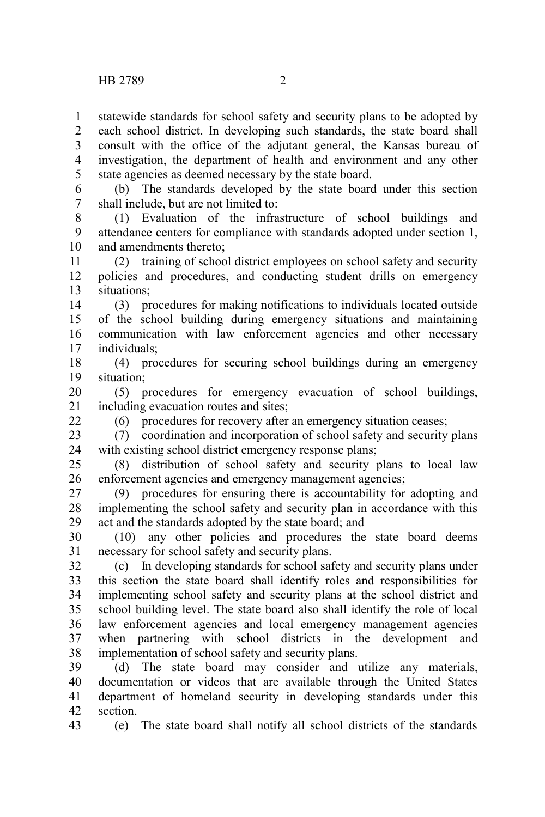statewide standards for school safety and security plans to be adopted by 1

each school district. In developing such standards, the state board shall consult with the office of the adjutant general, the Kansas bureau of investigation, the department of health and environment and any other state agencies as deemed necessary by the state board. 2 3 4 5

(b) The standards developed by the state board under this section shall include, but are not limited to: 6 7

(1) Evaluation of the infrastructure of school buildings and attendance centers for compliance with standards adopted under section 1, and amendments thereto; 8 9 10

(2) training of school district employees on school safety and security policies and procedures, and conducting student drills on emergency situations; 11 12 13

(3) procedures for making notifications to individuals located outside of the school building during emergency situations and maintaining communication with law enforcement agencies and other necessary individuals; 14 15 16 17

(4) procedures for securing school buildings during an emergency situation; 18 19

(5) procedures for emergency evacuation of school buildings, including evacuation routes and sites; 20 21

(6) procedures for recovery after an emergency situation ceases;

(7) coordination and incorporation of school safety and security plans with existing school district emergency response plans; 23 24

(8) distribution of school safety and security plans to local law enforcement agencies and emergency management agencies; 25 26

(9) procedures for ensuring there is accountability for adopting and implementing the school safety and security plan in accordance with this act and the standards adopted by the state board; and 27 28 29

(10) any other policies and procedures the state board deems necessary for school safety and security plans. 30 31

(c) In developing standards for school safety and security plans under this section the state board shall identify roles and responsibilities for implementing school safety and security plans at the school district and school building level. The state board also shall identify the role of local law enforcement agencies and local emergency management agencies when partnering with school districts in the development and implementation of school safety and security plans. 32 33 34 35 36 37 38

(d) The state board may consider and utilize any materials, documentation or videos that are available through the United States department of homeland security in developing standards under this section. 39 40 41 42

43

 $22$ 

(e) The state board shall notify all school districts of the standards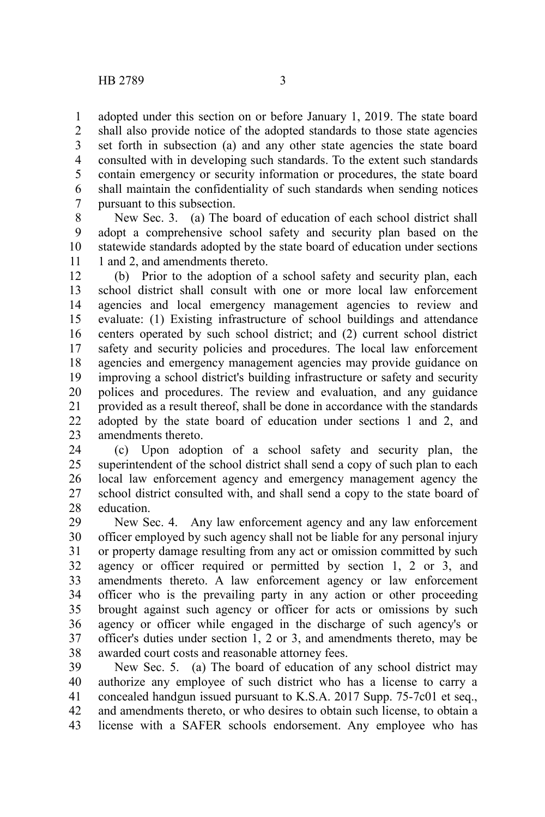adopted under this section on or before January 1, 2019. The state board shall also provide notice of the adopted standards to those state agencies set forth in subsection (a) and any other state agencies the state board consulted with in developing such standards. To the extent such standards contain emergency or security information or procedures, the state board shall maintain the confidentiality of such standards when sending notices pursuant to this subsection. 1 2 3 4 5 6 7

New Sec. 3. (a) The board of education of each school district shall adopt a comprehensive school safety and security plan based on the statewide standards adopted by the state board of education under sections 1 and 2, and amendments thereto. 8 9 10 11

(b) Prior to the adoption of a school safety and security plan, each school district shall consult with one or more local law enforcement agencies and local emergency management agencies to review and evaluate: (1) Existing infrastructure of school buildings and attendance centers operated by such school district; and (2) current school district safety and security policies and procedures. The local law enforcement agencies and emergency management agencies may provide guidance on improving a school district's building infrastructure or safety and security polices and procedures. The review and evaluation, and any guidance provided as a result thereof, shall be done in accordance with the standards adopted by the state board of education under sections 1 and 2, and amendments thereto. 12 13 14 15 16 17 18 19 20 21 22 23

(c) Upon adoption of a school safety and security plan, the superintendent of the school district shall send a copy of such plan to each local law enforcement agency and emergency management agency the school district consulted with, and shall send a copy to the state board of education. 24 25 26 27 28

New Sec. 4. Any law enforcement agency and any law enforcement officer employed by such agency shall not be liable for any personal injury or property damage resulting from any act or omission committed by such agency or officer required or permitted by section 1, 2 or 3, and amendments thereto. A law enforcement agency or law enforcement officer who is the prevailing party in any action or other proceeding brought against such agency or officer for acts or omissions by such agency or officer while engaged in the discharge of such agency's or officer's duties under section 1, 2 or 3, and amendments thereto, may be awarded court costs and reasonable attorney fees. 29 30 31 32 33 34 35 36 37 38

New Sec. 5. (a) The board of education of any school district may authorize any employee of such district who has a license to carry a concealed handgun issued pursuant to K.S.A. 2017 Supp. 75-7c01 et seq., and amendments thereto, or who desires to obtain such license, to obtain a license with a SAFER schools endorsement. Any employee who has 39 40 41 42 43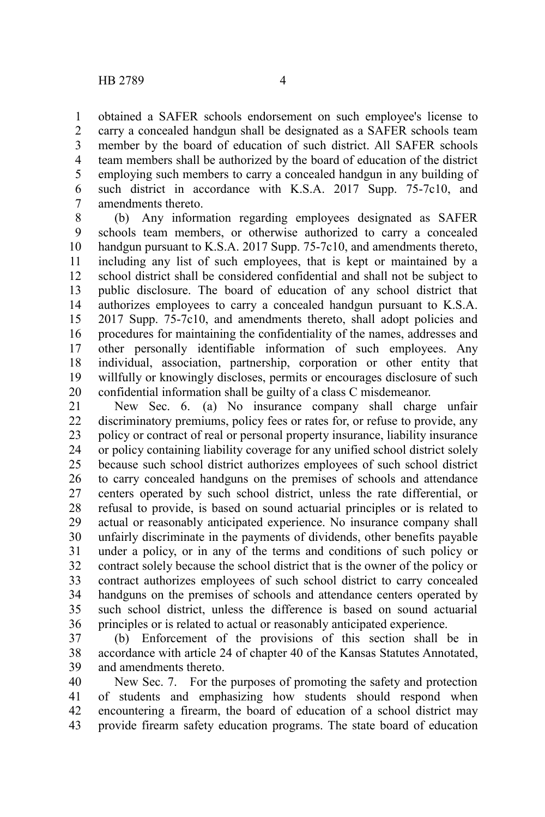obtained a SAFER schools endorsement on such employee's license to carry a concealed handgun shall be designated as a SAFER schools team member by the board of education of such district. All SAFER schools team members shall be authorized by the board of education of the district employing such members to carry a concealed handgun in any building of such district in accordance with K.S.A. 2017 Supp. 75-7c10, and amendments thereto. 1 2 3 4 5 6 7

(b) Any information regarding employees designated as SAFER schools team members, or otherwise authorized to carry a concealed handgun pursuant to K.S.A. 2017 Supp. 75-7c10, and amendments thereto, including any list of such employees, that is kept or maintained by a school district shall be considered confidential and shall not be subject to public disclosure. The board of education of any school district that authorizes employees to carry a concealed handgun pursuant to K.S.A. 2017 Supp. 75-7c10, and amendments thereto, shall adopt policies and procedures for maintaining the confidentiality of the names, addresses and other personally identifiable information of such employees. Any individual, association, partnership, corporation or other entity that willfully or knowingly discloses, permits or encourages disclosure of such confidential information shall be guilty of a class C misdemeanor. 8 9 10 11 12 13 14 15 16 17 18 19 20

New Sec. 6. (a) No insurance company shall charge unfair discriminatory premiums, policy fees or rates for, or refuse to provide, any policy or contract of real or personal property insurance, liability insurance or policy containing liability coverage for any unified school district solely because such school district authorizes employees of such school district to carry concealed handguns on the premises of schools and attendance centers operated by such school district, unless the rate differential, or refusal to provide, is based on sound actuarial principles or is related to actual or reasonably anticipated experience. No insurance company shall unfairly discriminate in the payments of dividends, other benefits payable under a policy, or in any of the terms and conditions of such policy or contract solely because the school district that is the owner of the policy or contract authorizes employees of such school district to carry concealed handguns on the premises of schools and attendance centers operated by such school district, unless the difference is based on sound actuarial principles or is related to actual or reasonably anticipated experience. 21 22 23 24 25 26 27 28 29 30 31 32 33 34 35 36

(b) Enforcement of the provisions of this section shall be in accordance with article 24 of chapter 40 of the Kansas Statutes Annotated, and amendments thereto. 37 38 39

New Sec. 7. For the purposes of promoting the safety and protection of students and emphasizing how students should respond when encountering a firearm, the board of education of a school district may provide firearm safety education programs. The state board of education 40 41 42 43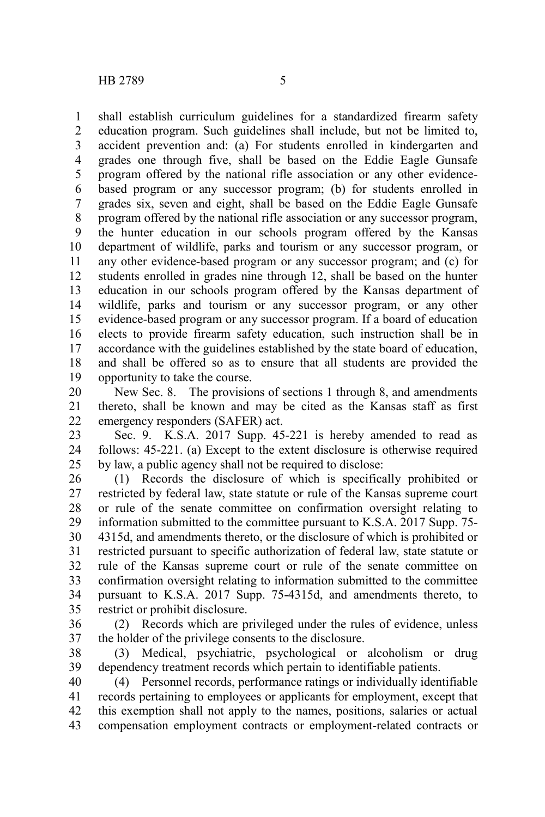shall establish curriculum guidelines for a standardized firearm safety education program. Such guidelines shall include, but not be limited to, accident prevention and: (a) For students enrolled in kindergarten and grades one through five, shall be based on the Eddie Eagle Gunsafe program offered by the national rifle association or any other evidencebased program or any successor program; (b) for students enrolled in grades six, seven and eight, shall be based on the Eddie Eagle Gunsafe program offered by the national rifle association or any successor program, the hunter education in our schools program offered by the Kansas department of wildlife, parks and tourism or any successor program, or any other evidence-based program or any successor program; and (c) for students enrolled in grades nine through 12, shall be based on the hunter education in our schools program offered by the Kansas department of wildlife, parks and tourism or any successor program, or any other evidence-based program or any successor program. If a board of education elects to provide firearm safety education, such instruction shall be in accordance with the guidelines established by the state board of education, and shall be offered so as to ensure that all students are provided the opportunity to take the course. 1 2 3 4 5 6 7 8 9 10 11 12 13 14 15 16 17 18 19

New Sec. 8. The provisions of sections 1 through 8, and amendments thereto, shall be known and may be cited as the Kansas staff as first emergency responders (SAFER) act. 20 21 22

Sec. 9. K.S.A. 2017 Supp. 45-221 is hereby amended to read as follows: 45-221. (a) Except to the extent disclosure is otherwise required by law, a public agency shall not be required to disclose: 23 24 25

(1) Records the disclosure of which is specifically prohibited or restricted by federal law, state statute or rule of the Kansas supreme court or rule of the senate committee on confirmation oversight relating to information submitted to the committee pursuant to K.S.A. 2017 Supp. 75- 4315d, and amendments thereto, or the disclosure of which is prohibited or restricted pursuant to specific authorization of federal law, state statute or rule of the Kansas supreme court or rule of the senate committee on confirmation oversight relating to information submitted to the committee pursuant to K.S.A. 2017 Supp. 75-4315d, and amendments thereto, to restrict or prohibit disclosure. 26 27 28 29 30 31 32 33 34 35

(2) Records which are privileged under the rules of evidence, unless the holder of the privilege consents to the disclosure. 36 37

(3) Medical, psychiatric, psychological or alcoholism or drug dependency treatment records which pertain to identifiable patients. 38 39

(4) Personnel records, performance ratings or individually identifiable records pertaining to employees or applicants for employment, except that this exemption shall not apply to the names, positions, salaries or actual compensation employment contracts or employment-related contracts or 40 41 42 43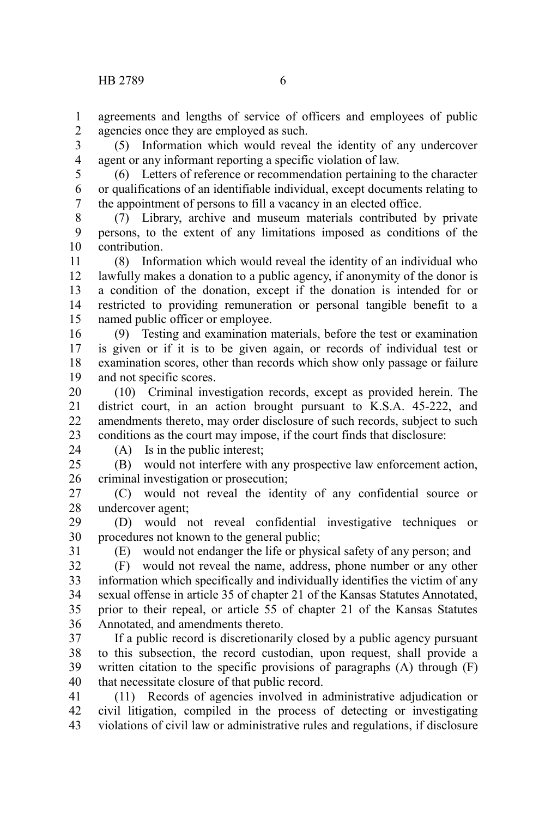agreements and lengths of service of officers and employees of public agencies once they are employed as such. 1 2

(5) Information which would reveal the identity of any undercover agent or any informant reporting a specific violation of law. 3 4

5

(6) Letters of reference or recommendation pertaining to the character or qualifications of an identifiable individual, except documents relating to the appointment of persons to fill a vacancy in an elected office. 6 7

(7) Library, archive and museum materials contributed by private persons, to the extent of any limitations imposed as conditions of the contribution. 8 9 10

(8) Information which would reveal the identity of an individual who lawfully makes a donation to a public agency, if anonymity of the donor is a condition of the donation, except if the donation is intended for or restricted to providing remuneration or personal tangible benefit to a named public officer or employee. 11 12 13 14 15

(9) Testing and examination materials, before the test or examination is given or if it is to be given again, or records of individual test or examination scores, other than records which show only passage or failure and not specific scores. 16 17 18 19

(10) Criminal investigation records, except as provided herein. The district court, in an action brought pursuant to K.S.A. 45-222, and amendments thereto, may order disclosure of such records, subject to such conditions as the court may impose, if the court finds that disclosure: 20 21 22 23

24

(A) Is in the public interest;

(B) would not interfere with any prospective law enforcement action, criminal investigation or prosecution;  $25$ 26

(C) would not reveal the identity of any confidential source or undercover agent; 27 28

(D) would not reveal confidential investigative techniques or procedures not known to the general public; 29 30

31

(E) would not endanger the life or physical safety of any person; and

(F) would not reveal the name, address, phone number or any other information which specifically and individually identifies the victim of any sexual offense in article 35 of chapter 21 of the Kansas Statutes Annotated, prior to their repeal, or article 55 of chapter 21 of the Kansas Statutes Annotated, and amendments thereto. 32 33 34 35 36

If a public record is discretionarily closed by a public agency pursuant to this subsection, the record custodian, upon request, shall provide a written citation to the specific provisions of paragraphs (A) through (F) that necessitate closure of that public record. 37 38 39 40

(11) Records of agencies involved in administrative adjudication or civil litigation, compiled in the process of detecting or investigating violations of civil law or administrative rules and regulations, if disclosure 41 42 43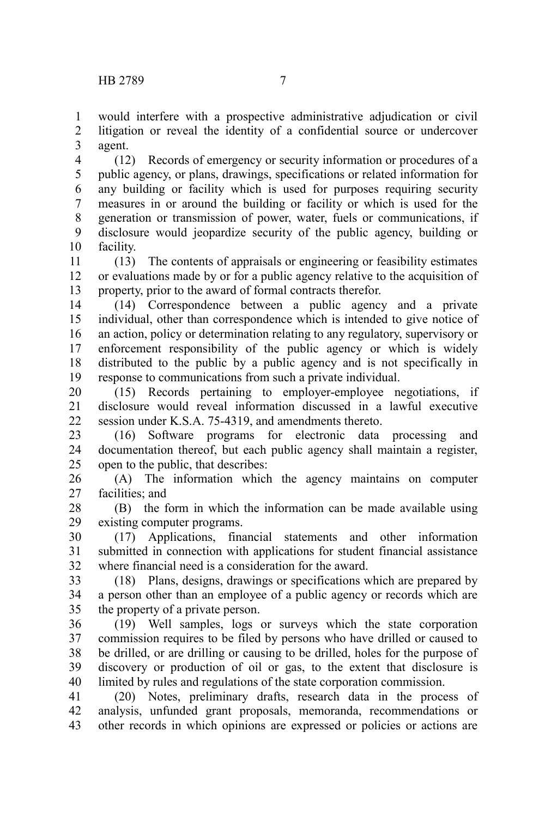would interfere with a prospective administrative adjudication or civil litigation or reveal the identity of a confidential source or undercover agent. 1 2 3

(12) Records of emergency or security information or procedures of a public agency, or plans, drawings, specifications or related information for any building or facility which is used for purposes requiring security measures in or around the building or facility or which is used for the generation or transmission of power, water, fuels or communications, if disclosure would jeopardize security of the public agency, building or facility. 4 5 6 7 8 9 10

(13) The contents of appraisals or engineering or feasibility estimates or evaluations made by or for a public agency relative to the acquisition of property, prior to the award of formal contracts therefor. 11 12 13

(14) Correspondence between a public agency and a private individual, other than correspondence which is intended to give notice of an action, policy or determination relating to any regulatory, supervisory or enforcement responsibility of the public agency or which is widely distributed to the public by a public agency and is not specifically in response to communications from such a private individual. 14 15 16 17 18 19

(15) Records pertaining to employer-employee negotiations, if disclosure would reveal information discussed in a lawful executive session under K.S.A. 75-4319, and amendments thereto. 20 21 22

(16) Software programs for electronic data processing and documentation thereof, but each public agency shall maintain a register, open to the public, that describes: 23 24 25

(A) The information which the agency maintains on computer facilities; and 26 27

(B) the form in which the information can be made available using existing computer programs. 28 29

(17) Applications, financial statements and other information submitted in connection with applications for student financial assistance where financial need is a consideration for the award. 30 31 32

(18) Plans, designs, drawings or specifications which are prepared by a person other than an employee of a public agency or records which are the property of a private person. 33 34 35

(19) Well samples, logs or surveys which the state corporation commission requires to be filed by persons who have drilled or caused to be drilled, or are drilling or causing to be drilled, holes for the purpose of discovery or production of oil or gas, to the extent that disclosure is limited by rules and regulations of the state corporation commission. 36 37 38 39 40

(20) Notes, preliminary drafts, research data in the process of analysis, unfunded grant proposals, memoranda, recommendations or other records in which opinions are expressed or policies or actions are 41 42 43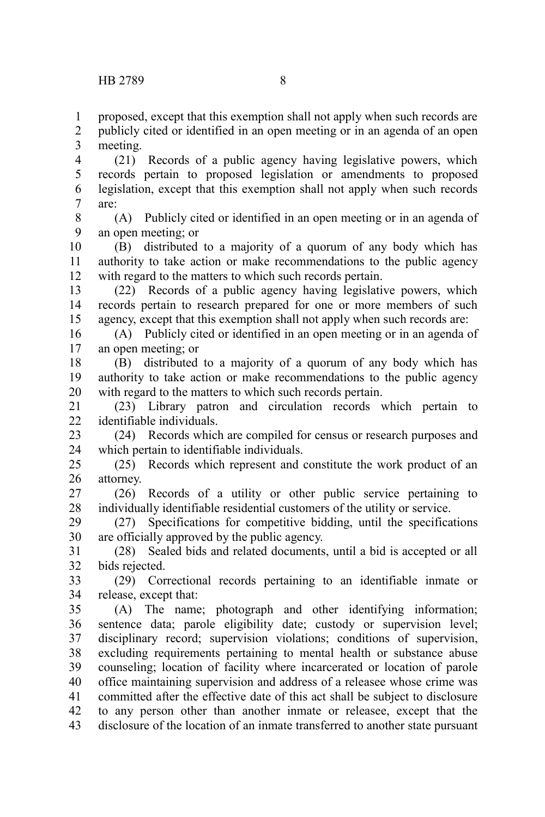proposed, except that this exemption shall not apply when such records are publicly cited or identified in an open meeting or in an agenda of an open meeting. 1 2 3

(21) Records of a public agency having legislative powers, which records pertain to proposed legislation or amendments to proposed legislation, except that this exemption shall not apply when such records are: 4 5 6 7

(A) Publicly cited or identified in an open meeting or in an agenda of an open meeting; or 8 9

(B) distributed to a majority of a quorum of any body which has authority to take action or make recommendations to the public agency with regard to the matters to which such records pertain. 10 11 12

(22) Records of a public agency having legislative powers, which records pertain to research prepared for one or more members of such agency, except that this exemption shall not apply when such records are: 13 14 15

(A) Publicly cited or identified in an open meeting or in an agenda of an open meeting; or 16 17

(B) distributed to a majority of a quorum of any body which has authority to take action or make recommendations to the public agency with regard to the matters to which such records pertain. 18 19 20

(23) Library patron and circulation records which pertain to identifiable individuals. 21  $22$ 

(24) Records which are compiled for census or research purposes and which pertain to identifiable individuals. 23 24

(25) Records which represent and constitute the work product of an attorney. 25 26

(26) Records of a utility or other public service pertaining to individually identifiable residential customers of the utility or service. 27 28

(27) Specifications for competitive bidding, until the specifications are officially approved by the public agency. 29 30

(28) Sealed bids and related documents, until a bid is accepted or all bids rejected. 31 32

(29) Correctional records pertaining to an identifiable inmate or release, except that: 33 34

(A) The name; photograph and other identifying information; sentence data; parole eligibility date; custody or supervision level; disciplinary record; supervision violations; conditions of supervision, excluding requirements pertaining to mental health or substance abuse counseling; location of facility where incarcerated or location of parole office maintaining supervision and address of a releasee whose crime was committed after the effective date of this act shall be subject to disclosure to any person other than another inmate or releasee, except that the disclosure of the location of an inmate transferred to another state pursuant 35 36 37 38 39 40 41 42 43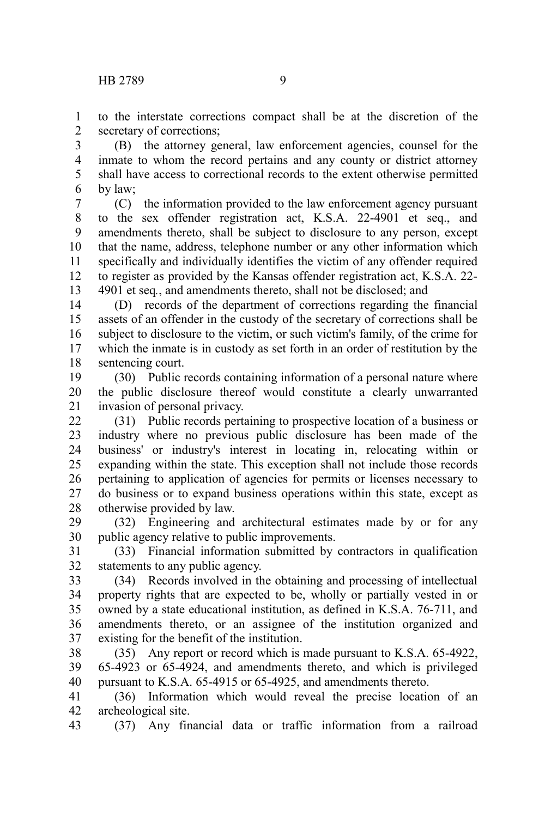to the interstate corrections compact shall be at the discretion of the secretary of corrections; 1 2

(B) the attorney general, law enforcement agencies, counsel for the inmate to whom the record pertains and any county or district attorney shall have access to correctional records to the extent otherwise permitted by law; 3 4 5 6

(C) the information provided to the law enforcement agency pursuant to the sex offender registration act, K.S.A. 22-4901 et seq., and amendments thereto, shall be subject to disclosure to any person, except that the name, address, telephone number or any other information which specifically and individually identifies the victim of any offender required to register as provided by the Kansas offender registration act, K.S.A. 22- 4901 et seq*.*, and amendments thereto, shall not be disclosed; and 7 8 9 10 11 12 13

(D) records of the department of corrections regarding the financial assets of an offender in the custody of the secretary of corrections shall be subject to disclosure to the victim, or such victim's family, of the crime for which the inmate is in custody as set forth in an order of restitution by the sentencing court. 14 15 16 17 18

(30) Public records containing information of a personal nature where the public disclosure thereof would constitute a clearly unwarranted invasion of personal privacy. 19 20 21

(31) Public records pertaining to prospective location of a business or industry where no previous public disclosure has been made of the business' or industry's interest in locating in, relocating within or expanding within the state. This exception shall not include those records pertaining to application of agencies for permits or licenses necessary to do business or to expand business operations within this state, except as otherwise provided by law. 22 23 24 25 26 27 28

(32) Engineering and architectural estimates made by or for any public agency relative to public improvements. 29 30

(33) Financial information submitted by contractors in qualification statements to any public agency. 31 32

(34) Records involved in the obtaining and processing of intellectual property rights that are expected to be, wholly or partially vested in or owned by a state educational institution, as defined in K.S.A. 76-711, and amendments thereto, or an assignee of the institution organized and existing for the benefit of the institution. 33 34 35 36 37

(35) Any report or record which is made pursuant to K.S.A. 65-4922, 65-4923 or 65-4924, and amendments thereto, and which is privileged pursuant to K.S.A. 65-4915 or 65-4925, and amendments thereto. 38 39 40

(36) Information which would reveal the precise location of an archeological site. 41 42

(37) Any financial data or traffic information from a railroad 43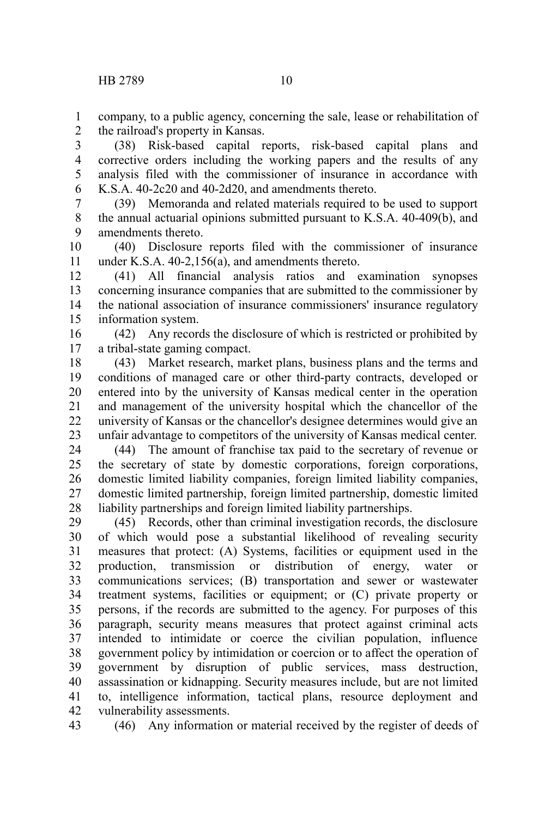company, to a public agency, concerning the sale, lease or rehabilitation of the railroad's property in Kansas. 1 2

(38) Risk-based capital reports, risk-based capital plans and corrective orders including the working papers and the results of any analysis filed with the commissioner of insurance in accordance with K.S.A. 40-2c20 and 40-2d20, and amendments thereto. 3 4 5 6

(39) Memoranda and related materials required to be used to support the annual actuarial opinions submitted pursuant to K.S.A. 40-409(b), and amendments thereto. 7 8 9

(40) Disclosure reports filed with the commissioner of insurance under K.S.A. 40-2,156(a), and amendments thereto. 10 11

(41) All financial analysis ratios and examination synopses concerning insurance companies that are submitted to the commissioner by the national association of insurance commissioners' insurance regulatory information system. 12 13 14 15

(42) Any records the disclosure of which is restricted or prohibited by a tribal-state gaming compact. 16 17

(43) Market research, market plans, business plans and the terms and conditions of managed care or other third-party contracts, developed or entered into by the university of Kansas medical center in the operation and management of the university hospital which the chancellor of the university of Kansas or the chancellor's designee determines would give an unfair advantage to competitors of the university of Kansas medical center. 18 19 20 21 22 23

(44) The amount of franchise tax paid to the secretary of revenue or the secretary of state by domestic corporations, foreign corporations, domestic limited liability companies, foreign limited liability companies, domestic limited partnership, foreign limited partnership, domestic limited liability partnerships and foreign limited liability partnerships. 24 25 26 27 28

(45) Records, other than criminal investigation records, the disclosure of which would pose a substantial likelihood of revealing security measures that protect: (A) Systems, facilities or equipment used in the production, transmission or distribution of energy, water or communications services; (B) transportation and sewer or wastewater treatment systems, facilities or equipment; or (C) private property or persons, if the records are submitted to the agency. For purposes of this paragraph, security means measures that protect against criminal acts intended to intimidate or coerce the civilian population, influence government policy by intimidation or coercion or to affect the operation of government by disruption of public services, mass destruction, assassination or kidnapping. Security measures include, but are not limited to, intelligence information, tactical plans, resource deployment and vulnerability assessments. 29 30 31 32 33 34 35 36 37 38 39 40 41 42

(46) Any information or material received by the register of deeds of 43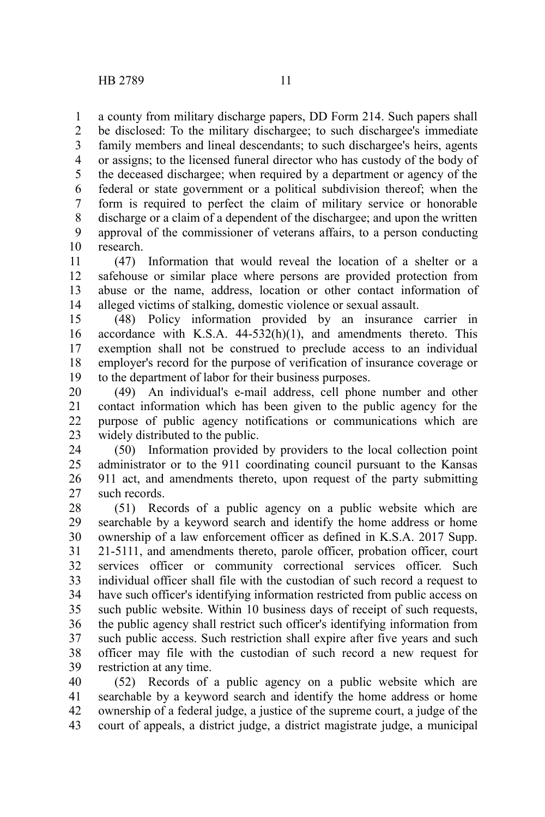a county from military discharge papers, DD Form 214. Such papers shall be disclosed: To the military dischargee; to such dischargee's immediate family members and lineal descendants; to such dischargee's heirs, agents or assigns; to the licensed funeral director who has custody of the body of the deceased dischargee; when required by a department or agency of the federal or state government or a political subdivision thereof; when the form is required to perfect the claim of military service or honorable discharge or a claim of a dependent of the dischargee; and upon the written approval of the commissioner of veterans affairs, to a person conducting research. 1 2 3 4 5 6 7 8 9 10

(47) Information that would reveal the location of a shelter or a safehouse or similar place where persons are provided protection from abuse or the name, address, location or other contact information of alleged victims of stalking, domestic violence or sexual assault. 11 12 13 14

(48) Policy information provided by an insurance carrier in accordance with K.S.A.  $44-532(h)(1)$ , and amendments thereto. This exemption shall not be construed to preclude access to an individual employer's record for the purpose of verification of insurance coverage or to the department of labor for their business purposes. 15 16 17 18 19

(49) An individual's e-mail address, cell phone number and other contact information which has been given to the public agency for the purpose of public agency notifications or communications which are widely distributed to the public. 20 21 22 23

(50) Information provided by providers to the local collection point administrator or to the 911 coordinating council pursuant to the Kansas 911 act, and amendments thereto, upon request of the party submitting such records. 24 25 26 27

(51) Records of a public agency on a public website which are searchable by a keyword search and identify the home address or home ownership of a law enforcement officer as defined in K.S.A. 2017 Supp. 21-5111, and amendments thereto, parole officer, probation officer, court services officer or community correctional services officer. Such individual officer shall file with the custodian of such record a request to have such officer's identifying information restricted from public access on such public website. Within 10 business days of receipt of such requests, the public agency shall restrict such officer's identifying information from such public access. Such restriction shall expire after five years and such officer may file with the custodian of such record a new request for restriction at any time. 28 29 30 31 32 33 34 35 36 37 38 39

(52) Records of a public agency on a public website which are searchable by a keyword search and identify the home address or home ownership of a federal judge, a justice of the supreme court, a judge of the court of appeals, a district judge, a district magistrate judge, a municipal 40 41 42 43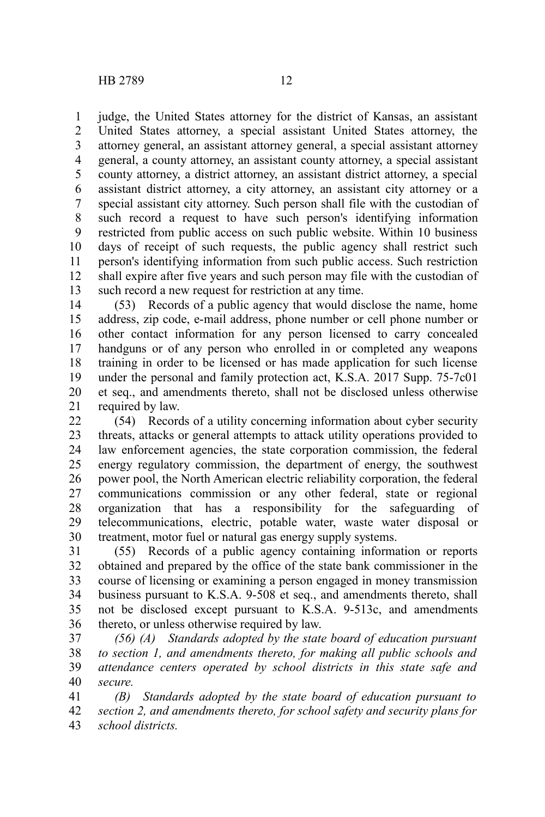judge, the United States attorney for the district of Kansas, an assistant United States attorney, a special assistant United States attorney, the attorney general, an assistant attorney general, a special assistant attorney general, a county attorney, an assistant county attorney, a special assistant county attorney, a district attorney, an assistant district attorney, a special assistant district attorney, a city attorney, an assistant city attorney or a special assistant city attorney. Such person shall file with the custodian of such record a request to have such person's identifying information restricted from public access on such public website. Within 10 business days of receipt of such requests, the public agency shall restrict such person's identifying information from such public access. Such restriction shall expire after five years and such person may file with the custodian of such record a new request for restriction at any time. 1 2 3 4 5 6 7 8 9 10 11 12 13

(53) Records of a public agency that would disclose the name, home address, zip code, e-mail address, phone number or cell phone number or other contact information for any person licensed to carry concealed handguns or of any person who enrolled in or completed any weapons training in order to be licensed or has made application for such license under the personal and family protection act, K.S.A. 2017 Supp. 75-7c01 et seq., and amendments thereto, shall not be disclosed unless otherwise required by law. 14 15 16 17 18 19 20 21

(54) Records of a utility concerning information about cyber security threats, attacks or general attempts to attack utility operations provided to law enforcement agencies, the state corporation commission, the federal energy regulatory commission, the department of energy, the southwest power pool, the North American electric reliability corporation, the federal communications commission or any other federal, state or regional organization that has a responsibility for the safeguarding of telecommunications, electric, potable water, waste water disposal or treatment, motor fuel or natural gas energy supply systems. 22 23 24 25 26 27 28 29 30

(55) Records of a public agency containing information or reports obtained and prepared by the office of the state bank commissioner in the course of licensing or examining a person engaged in money transmission business pursuant to K.S.A. 9-508 et seq., and amendments thereto, shall not be disclosed except pursuant to K.S.A. 9-513c, and amendments thereto, or unless otherwise required by law. 31 32 33 34 35 36

*(56) (A) Standards adopted by the state board of education pursuant to section 1, and amendments thereto, for making all public schools and attendance centers operated by school districts in this state safe and secure.* 37 38 39 40

*(B) Standards adopted by the state board of education pursuant to section 2, and amendments thereto, for school safety and security plans for school districts.* 41 42 43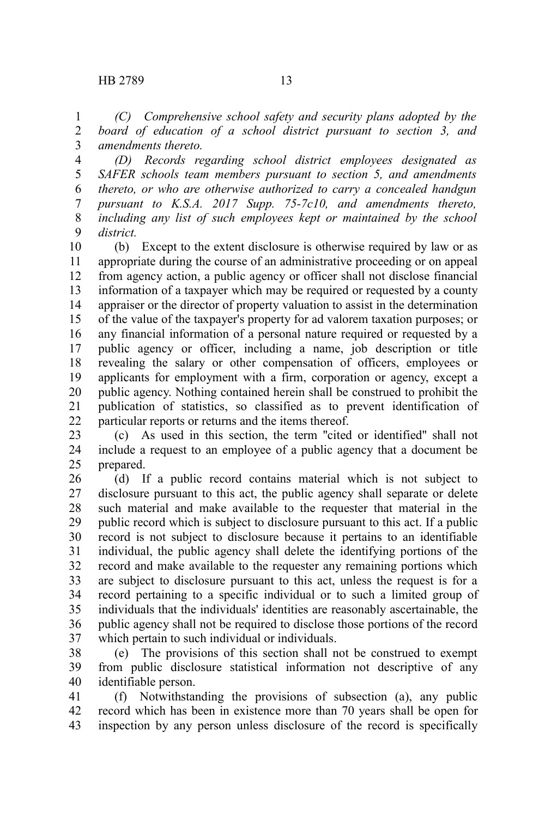*(C) Comprehensive school safety and security plans adopted by the board of education of a school district pursuant to section 3, and amendments thereto.* 1 2 3

*(D) Records regarding school district employees designated as SAFER schools team members pursuant to section 5, and amendments thereto, or who are otherwise authorized to carry a concealed handgun pursuant to K.S.A. 2017 Supp. 75-7c10, and amendments thereto, including any list of such employees kept or maintained by the school district.* 4 5 6 7 8 9

(b) Except to the extent disclosure is otherwise required by law or as appropriate during the course of an administrative proceeding or on appeal from agency action, a public agency or officer shall not disclose financial information of a taxpayer which may be required or requested by a county appraiser or the director of property valuation to assist in the determination of the value of the taxpayer's property for ad valorem taxation purposes; or any financial information of a personal nature required or requested by a public agency or officer, including a name, job description or title revealing the salary or other compensation of officers, employees or applicants for employment with a firm, corporation or agency, except a public agency. Nothing contained herein shall be construed to prohibit the publication of statistics, so classified as to prevent identification of particular reports or returns and the items thereof. 10 11 12 13 14 15 16 17 18 19 20 21 22

(c) As used in this section, the term ''cited or identified'' shall not include a request to an employee of a public agency that a document be prepared. 23 24 25

(d) If a public record contains material which is not subject to disclosure pursuant to this act, the public agency shall separate or delete such material and make available to the requester that material in the public record which is subject to disclosure pursuant to this act. If a public record is not subject to disclosure because it pertains to an identifiable individual, the public agency shall delete the identifying portions of the record and make available to the requester any remaining portions which are subject to disclosure pursuant to this act, unless the request is for a record pertaining to a specific individual or to such a limited group of individuals that the individuals' identities are reasonably ascertainable, the public agency shall not be required to disclose those portions of the record which pertain to such individual or individuals. 26 27 28 29 30 31 32 33 34 35 36 37

(e) The provisions of this section shall not be construed to exempt from public disclosure statistical information not descriptive of any identifiable person. 38 39 40

(f) Notwithstanding the provisions of subsection (a), any public record which has been in existence more than 70 years shall be open for inspection by any person unless disclosure of the record is specifically 41 42 43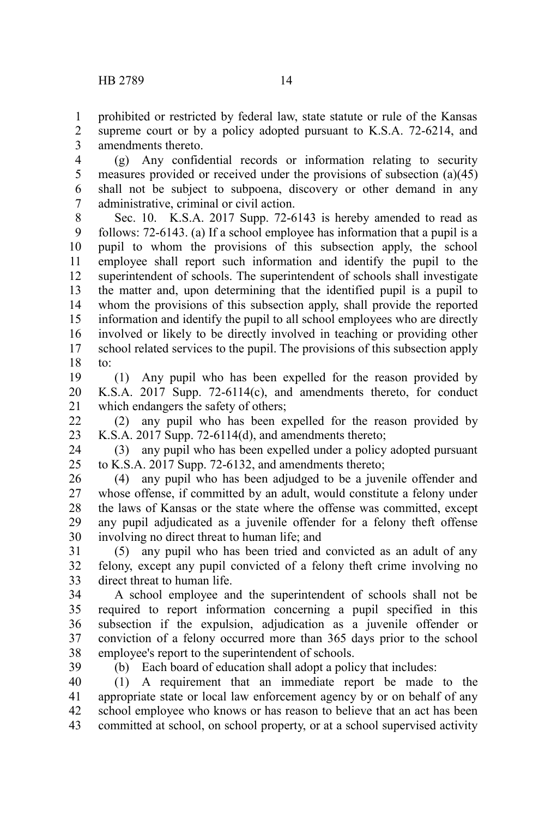1

(g) Any confidential records or information relating to security measures provided or received under the provisions of subsection (a)(45) shall not be subject to subpoena, discovery or other demand in any administrative, criminal or civil action. 4 5 6 7

Sec. 10. K.S.A. 2017 Supp. 72-6143 is hereby amended to read as follows: 72-6143. (a) If a school employee has information that a pupil is a pupil to whom the provisions of this subsection apply, the school employee shall report such information and identify the pupil to the superintendent of schools. The superintendent of schools shall investigate the matter and, upon determining that the identified pupil is a pupil to whom the provisions of this subsection apply, shall provide the reported information and identify the pupil to all school employees who are directly involved or likely to be directly involved in teaching or providing other school related services to the pupil. The provisions of this subsection apply to: 8 9 10 11 12 13 14 15 16 17 18

(1) Any pupil who has been expelled for the reason provided by K.S.A. 2017 Supp. 72-6114(c), and amendments thereto, for conduct which endangers the safety of others; 19 20 21

(2) any pupil who has been expelled for the reason provided by K.S.A. 2017 Supp. 72-6114(d), and amendments thereto; 22 23

(3) any pupil who has been expelled under a policy adopted pursuant to K.S.A. 2017 Supp. 72-6132, and amendments thereto; 24 25

(4) any pupil who has been adjudged to be a juvenile offender and whose offense, if committed by an adult, would constitute a felony under the laws of Kansas or the state where the offense was committed, except any pupil adjudicated as a juvenile offender for a felony theft offense involving no direct threat to human life; and 26 27 28 29 30

(5) any pupil who has been tried and convicted as an adult of any felony, except any pupil convicted of a felony theft crime involving no direct threat to human life. 31 32 33

A school employee and the superintendent of schools shall not be required to report information concerning a pupil specified in this subsection if the expulsion, adjudication as a juvenile offender or conviction of a felony occurred more than 365 days prior to the school employee's report to the superintendent of schools. 34 35 36 37 38

39

(b) Each board of education shall adopt a policy that includes:

(1) A requirement that an immediate report be made to the appropriate state or local law enforcement agency by or on behalf of any school employee who knows or has reason to believe that an act has been committed at school, on school property, or at a school supervised activity 40 41 42 43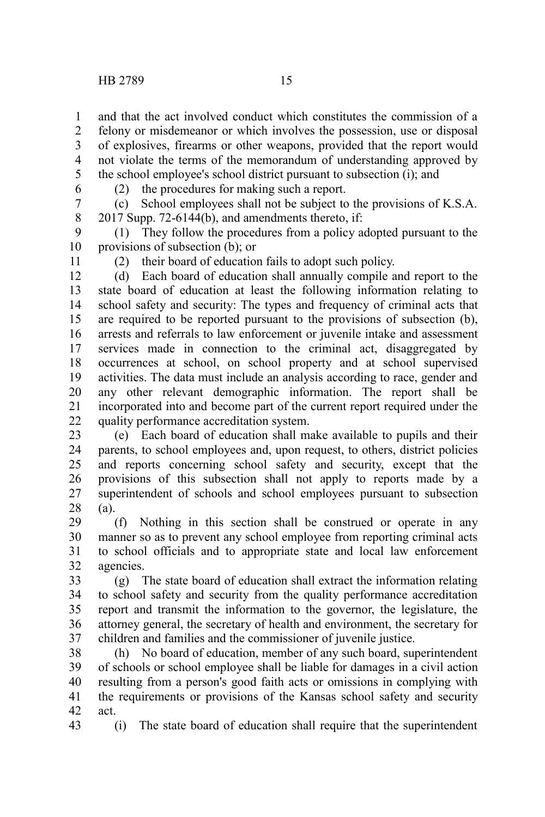and that the act involved conduct which constitutes the commission of a felony or misdemeanor or which involves the possession, use or disposal of explosives, firearms or other weapons, provided that the report would not violate the terms of the memorandum of understanding approved by the school employee's school district pursuant to subsection (i); and 1 2 3 4 5

6

(2) the procedures for making such a report.

(c) School employees shall not be subject to the provisions of K.S.A.  $2017$  Supp. 72-6144(b), and amendments thereto, if: 7 8

(1) They follow the procedures from a policy adopted pursuant to the provisions of subsection (b); or 9 10

11

(2) their board of education fails to adopt such policy.

(d) Each board of education shall annually compile and report to the state board of education at least the following information relating to school safety and security: The types and frequency of criminal acts that are required to be reported pursuant to the provisions of subsection (b), arrests and referrals to law enforcement or juvenile intake and assessment services made in connection to the criminal act, disaggregated by occurrences at school, on school property and at school supervised activities. The data must include an analysis according to race, gender and any other relevant demographic information. The report shall be incorporated into and become part of the current report required under the quality performance accreditation system. 12 13 14 15 16 17 18 19 20 21 22

(e) Each board of education shall make available to pupils and their parents, to school employees and, upon request, to others, district policies and reports concerning school safety and security, except that the provisions of this subsection shall not apply to reports made by a superintendent of schools and school employees pursuant to subsection (a). 23 24 25 26 27 28

(f) Nothing in this section shall be construed or operate in any manner so as to prevent any school employee from reporting criminal acts to school officials and to appropriate state and local law enforcement agencies. 29 30 31 32

(g) The state board of education shall extract the information relating to school safety and security from the quality performance accreditation report and transmit the information to the governor, the legislature, the attorney general, the secretary of health and environment, the secretary for children and families and the commissioner of juvenile justice. 33 34 35 36 37

(h) No board of education, member of any such board, superintendent of schools or school employee shall be liable for damages in a civil action resulting from a person's good faith acts or omissions in complying with the requirements or provisions of the Kansas school safety and security act. 38 39 40 41 42

(i) The state board of education shall require that the superintendent 43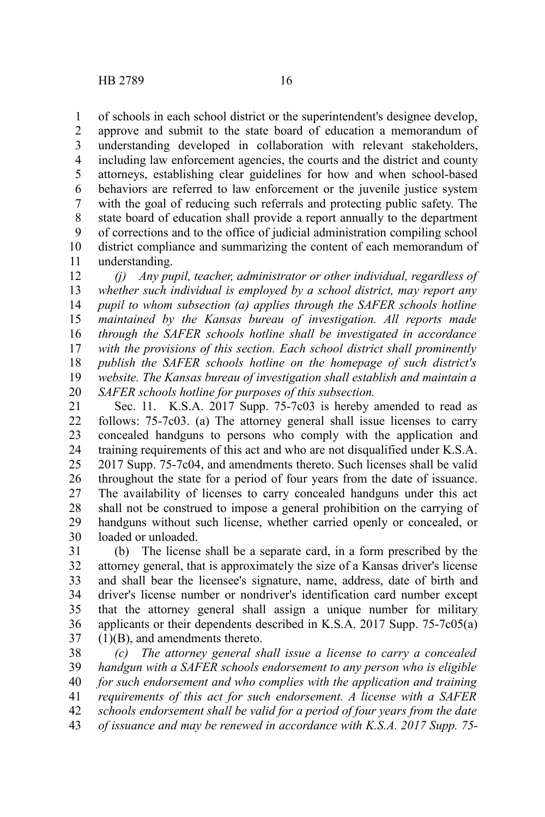of schools in each school district or the superintendent's designee develop, approve and submit to the state board of education a memorandum of understanding developed in collaboration with relevant stakeholders, including law enforcement agencies, the courts and the district and county attorneys, establishing clear guidelines for how and when school-based behaviors are referred to law enforcement or the juvenile justice system with the goal of reducing such referrals and protecting public safety. The state board of education shall provide a report annually to the department of corrections and to the office of judicial administration compiling school district compliance and summarizing the content of each memorandum of understanding. 1 2 3 4 5 6 7 8 9 10 11

*(j) Any pupil, teacher, administrator or other individual, regardless of whether such individual is employed by a school district, may report any pupil to whom subsection (a) applies through the SAFER schools hotline maintained by the Kansas bureau of investigation. All reports made through the SAFER schools hotline shall be investigated in accordance with the provisions of this section. Each school district shall prominently publish the SAFER schools hotline on the homepage of such district's website. The Kansas bureau of investigation shall establish and maintain a SAFER schools hotline for purposes of this subsection.* 12 13 14 15 16 17 18 19 20

Sec. 11. K.S.A. 2017 Supp. 75-7c03 is hereby amended to read as follows: 75-7c03. (a) The attorney general shall issue licenses to carry concealed handguns to persons who comply with the application and training requirements of this act and who are not disqualified under K.S.A. 2017 Supp. 75-7c04, and amendments thereto. Such licenses shall be valid throughout the state for a period of four years from the date of issuance. The availability of licenses to carry concealed handguns under this act shall not be construed to impose a general prohibition on the carrying of handguns without such license, whether carried openly or concealed, or loaded or unloaded. 21 22 23 24 25 26 27 28 29 30

(b) The license shall be a separate card, in a form prescribed by the attorney general, that is approximately the size of a Kansas driver's license and shall bear the licensee's signature, name, address, date of birth and driver's license number or nondriver's identification card number except that the attorney general shall assign a unique number for military applicants or their dependents described in K.S.A. 2017 Supp. 75-7c05(a) (1)(B), and amendments thereto. 31 32 33 34 35 36 37

*(c) The attorney general shall issue a license to carry a concealed handgun with a SAFER schools endorsement to any person who is eligible for such endorsement and who complies with the application and training requirements of this act for such endorsement. A license with a SAFER schools endorsement shall be valid for a period of four years from the date of issuance and may be renewed in accordance with K.S.A. 2017 Supp. 75-* 38 39 40 41 42 43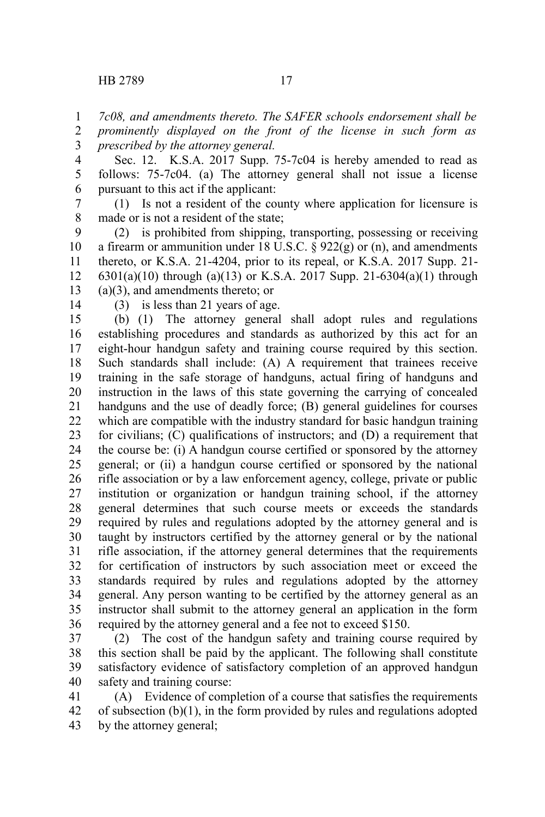*7c08, and amendments thereto. The SAFER schools endorsement shall be* 1

*prominently displayed on the front of the license in such form as prescribed by the attorney general.* 2 3

Sec. 12. K.S.A. 2017 Supp. 75-7c04 is hereby amended to read as follows: 75-7c04. (a) The attorney general shall not issue a license pursuant to this act if the applicant: 4 5 6

(1) Is not a resident of the county where application for licensure is made or is not a resident of the state; 7 8

(2) is prohibited from shipping, transporting, possessing or receiving a firearm or ammunition under 18 U.S.C.  $\S$  922(g) or (n), and amendments thereto, or K.S.A. 21-4204, prior to its repeal, or K.S.A. 2017 Supp. 21- 6301(a)(10) through (a)(13) or K.S.A. 2017 Supp. 21-6304(a)(1) through (a)(3), and amendments thereto; or 9 10 11 12 13

14

(3) is less than 21 years of age.

(b) (1) The attorney general shall adopt rules and regulations establishing procedures and standards as authorized by this act for an eight-hour handgun safety and training course required by this section. Such standards shall include: (A) A requirement that trainees receive training in the safe storage of handguns, actual firing of handguns and instruction in the laws of this state governing the carrying of concealed handguns and the use of deadly force; (B) general guidelines for courses which are compatible with the industry standard for basic handgun training for civilians; (C) qualifications of instructors; and (D) a requirement that the course be: (i) A handgun course certified or sponsored by the attorney general; or (ii) a handgun course certified or sponsored by the national rifle association or by a law enforcement agency, college, private or public institution or organization or handgun training school, if the attorney general determines that such course meets or exceeds the standards required by rules and regulations adopted by the attorney general and is taught by instructors certified by the attorney general or by the national rifle association, if the attorney general determines that the requirements for certification of instructors by such association meet or exceed the standards required by rules and regulations adopted by the attorney general. Any person wanting to be certified by the attorney general as an instructor shall submit to the attorney general an application in the form required by the attorney general and a fee not to exceed \$150. 15 16 17 18 19 20 21 22 23 24 25 26 27 28 29 30 31 32 33 34 35 36

(2) The cost of the handgun safety and training course required by this section shall be paid by the applicant. The following shall constitute satisfactory evidence of satisfactory completion of an approved handgun safety and training course: 37 38 39 40

(A) Evidence of completion of a course that satisfies the requirements of subsection (b)(1), in the form provided by rules and regulations adopted by the attorney general; 41 42 43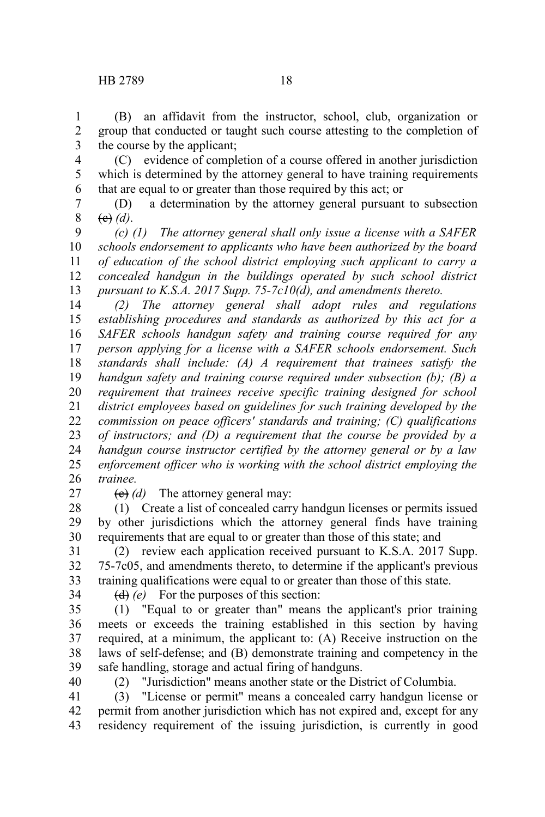(B) an affidavit from the instructor, school, club, organization or group that conducted or taught such course attesting to the completion of the course by the applicant; 1 2 3

(C) evidence of completion of a course offered in another jurisdiction which is determined by the attorney general to have training requirements that are equal to or greater than those required by this act; or 4 5 6

(D) a determination by the attorney general pursuant to subsection (c) *(d)*. 7 8

*(c) (1) The attorney general shall only issue a license with a SAFER schools endorsement to applicants who have been authorized by the board of education of the school district employing such applicant to carry a concealed handgun in the buildings operated by such school district pursuant to K.S.A. 2017 Supp. 75-7c10(d), and amendments thereto.* 9 10 11 12 13

*(2) The attorney general shall adopt rules and regulations establishing procedures and standards as authorized by this act for a SAFER schools handgun safety and training course required for any person applying for a license with a SAFER schools endorsement. Such standards shall include: (A) A requirement that trainees satisfy the handgun safety and training course required under subsection (b); (B) a requirement that trainees receive specific training designed for school district employees based on guidelines for such training developed by the commission on peace officers' standards and training; (C) qualifications of instructors; and (D) a requirement that the course be provided by a handgun course instructor certified by the attorney general or by a law enforcement officer who is working with the school district employing the trainee.* 14 15 16 17 18 19 20 21 22 23 24 25 26

27

(c) *(d)* The attorney general may:

(1) Create a list of concealed carry handgun licenses or permits issued by other jurisdictions which the attorney general finds have training requirements that are equal to or greater than those of this state; and 28 29 30

(2) review each application received pursuant to K.S.A. 2017 Supp. 75-7c05, and amendments thereto, to determine if the applicant's previous training qualifications were equal to or greater than those of this state. 31 32 33

34

(d) *(e)* For the purposes of this section:

(1) "Equal to or greater than" means the applicant's prior training meets or exceeds the training established in this section by having required, at a minimum, the applicant to: (A) Receive instruction on the laws of self-defense; and (B) demonstrate training and competency in the safe handling, storage and actual firing of handguns. 35 36 37 38 39

40

(2) "Jurisdiction" means another state or the District of Columbia.

(3) "License or permit" means a concealed carry handgun license or permit from another jurisdiction which has not expired and, except for any residency requirement of the issuing jurisdiction, is currently in good 41 42 43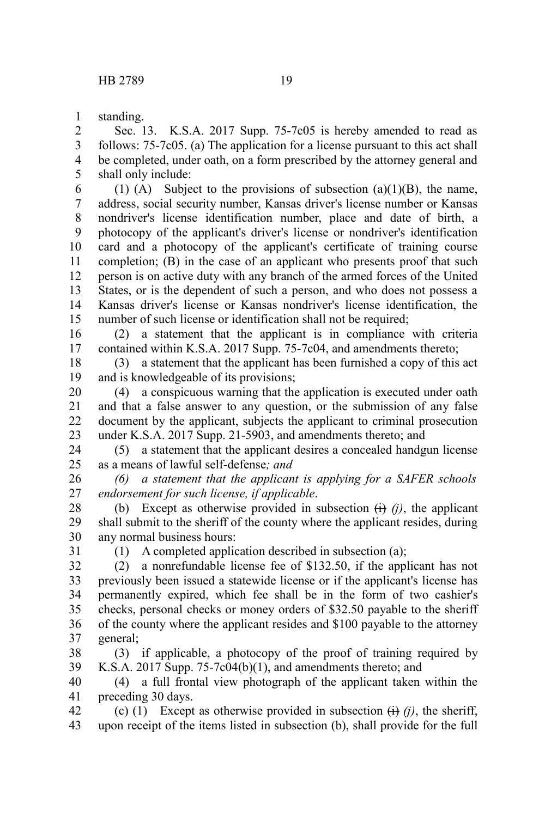standing. 1

Sec. 13. K.S.A. 2017 Supp. 75-7c05 is hereby amended to read as follows: 75-7c05. (a) The application for a license pursuant to this act shall be completed, under oath, on a form prescribed by the attorney general and shall only include: 2 3 4 5

(1) (A) Subject to the provisions of subsection  $(a)(1)(B)$ , the name, address, social security number, Kansas driver's license number or Kansas nondriver's license identification number, place and date of birth, a photocopy of the applicant's driver's license or nondriver's identification card and a photocopy of the applicant's certificate of training course completion; (B) in the case of an applicant who presents proof that such person is on active duty with any branch of the armed forces of the United States, or is the dependent of such a person, and who does not possess a Kansas driver's license or Kansas nondriver's license identification, the number of such license or identification shall not be required; 6 7 8 9 10 11 12 13 14 15

(2) a statement that the applicant is in compliance with criteria contained within K.S.A. 2017 Supp. 75-7c04, and amendments thereto; 16 17

(3) a statement that the applicant has been furnished a copy of this act and is knowledgeable of its provisions; 18 19

(4) a conspicuous warning that the application is executed under oath and that a false answer to any question, or the submission of any false document by the applicant, subjects the applicant to criminal prosecution under K.S.A. 2017 Supp. 21-5903, and amendments thereto; and 20 21 22 23

(5) a statement that the applicant desires a concealed handgun license as a means of lawful self-defense*; and* 24 25

*(6) a statement that the applicant is applying for a SAFER schools endorsement for such license, if applicable*. 26 27

(b) Except as otherwise provided in subsection  $\leftrightarrow$  *(i)*, the applicant shall submit to the sheriff of the county where the applicant resides, during any normal business hours: 28 29 30

31

(1) A completed application described in subsection (a);

(2) a nonrefundable license fee of \$132.50, if the applicant has not previously been issued a statewide license or if the applicant's license has permanently expired, which fee shall be in the form of two cashier's checks, personal checks or money orders of \$32.50 payable to the sheriff of the county where the applicant resides and \$100 payable to the attorney general; 32 33 34 35 36 37

(3) if applicable, a photocopy of the proof of training required by K.S.A. 2017 Supp. 75-7c04(b)(1), and amendments thereto; and 38 39

(4) a full frontal view photograph of the applicant taken within the preceding 30 days. 40 41

(c) (1) Except as otherwise provided in subsection  $\overrightarrow{(i)}$  (*j*), the sheriff, upon receipt of the items listed in subsection (b), shall provide for the full 42 43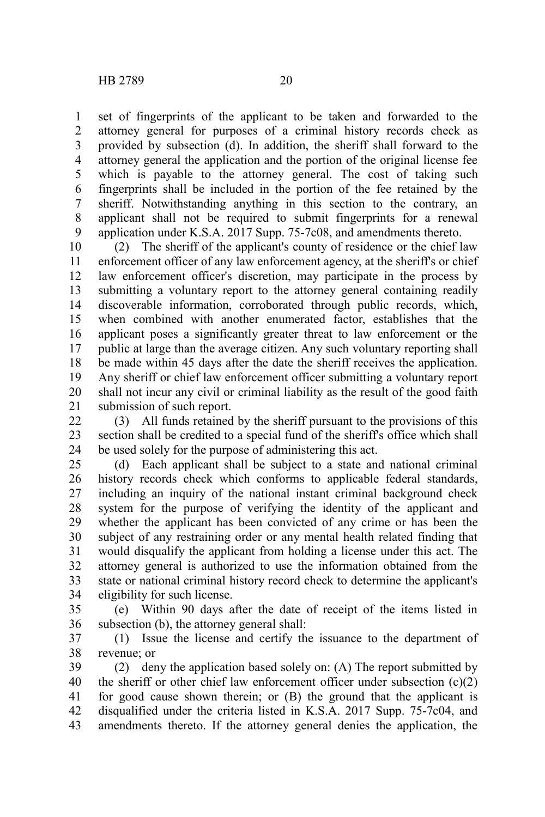set of fingerprints of the applicant to be taken and forwarded to the attorney general for purposes of a criminal history records check as provided by subsection (d). In addition, the sheriff shall forward to the attorney general the application and the portion of the original license fee which is payable to the attorney general. The cost of taking such fingerprints shall be included in the portion of the fee retained by the sheriff. Notwithstanding anything in this section to the contrary, an applicant shall not be required to submit fingerprints for a renewal application under K.S.A. 2017 Supp. 75-7c08, and amendments thereto. 1 2 3 4 5 6 7 8 9

(2) The sheriff of the applicant's county of residence or the chief law enforcement officer of any law enforcement agency, at the sheriff's or chief law enforcement officer's discretion, may participate in the process by submitting a voluntary report to the attorney general containing readily discoverable information, corroborated through public records, which, when combined with another enumerated factor, establishes that the applicant poses a significantly greater threat to law enforcement or the public at large than the average citizen. Any such voluntary reporting shall be made within 45 days after the date the sheriff receives the application. Any sheriff or chief law enforcement officer submitting a voluntary report shall not incur any civil or criminal liability as the result of the good faith submission of such report. 10 11 12 13 14 15 16 17 18 19 20 21

(3) All funds retained by the sheriff pursuant to the provisions of this section shall be credited to a special fund of the sheriff's office which shall be used solely for the purpose of administering this act. 22 23 24

(d) Each applicant shall be subject to a state and national criminal history records check which conforms to applicable federal standards, including an inquiry of the national instant criminal background check system for the purpose of verifying the identity of the applicant and whether the applicant has been convicted of any crime or has been the subject of any restraining order or any mental health related finding that would disqualify the applicant from holding a license under this act. The attorney general is authorized to use the information obtained from the state or national criminal history record check to determine the applicant's eligibility for such license. 25 26 27 28 29 30 31 32 33 34

(e) Within 90 days after the date of receipt of the items listed in subsection (b), the attorney general shall: 35 36

(1) Issue the license and certify the issuance to the department of revenue; or 37 38

(2) deny the application based solely on: (A) The report submitted by the sheriff or other chief law enforcement officer under subsection  $(c)(2)$ for good cause shown therein; or (B) the ground that the applicant is disqualified under the criteria listed in K.S.A. 2017 Supp. 75-7c04, and amendments thereto. If the attorney general denies the application, the 39 40 41 42 43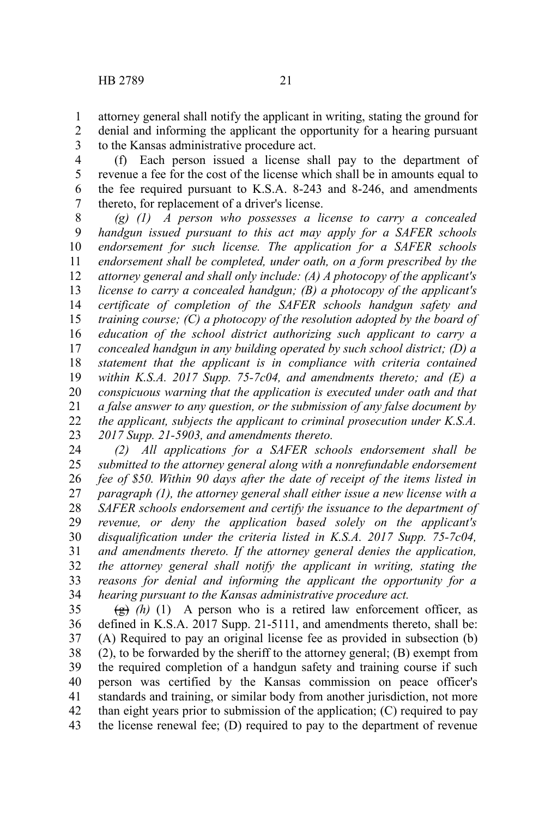- attorney general shall notify the applicant in writing, stating the ground for denial and informing the applicant the opportunity for a hearing pursuant to the Kansas administrative procedure act. 1 2 3
- (f) Each person issued a license shall pay to the department of revenue a fee for the cost of the license which shall be in amounts equal to the fee required pursuant to K.S.A. 8-243 and 8-246, and amendments thereto, for replacement of a driver's license. 4 5 6 7

*(g) (1) A person who possesses a license to carry a concealed handgun issued pursuant to this act may apply for a SAFER schools endorsement for such license. The application for a SAFER schools endorsement shall be completed, under oath, on a form prescribed by the attorney general and shall only include: (A) A photocopy of the applicant's license to carry a concealed handgun; (B) a photocopy of the applicant's certificate of completion of the SAFER schools handgun safety and training course; (C) a photocopy of the resolution adopted by the board of education of the school district authorizing such applicant to carry a concealed handgun in any building operated by such school district; (D) a statement that the applicant is in compliance with criteria contained within K.S.A. 2017 Supp. 75-7c04, and amendments thereto; and (E) a conspicuous warning that the application is executed under oath and that a false answer to any question, or the submission of any false document by the applicant, subjects the applicant to criminal prosecution under K.S.A. 2017 Supp. 21-5903, and amendments thereto.* 8 9 10 11 12 13 14 15 16 17 18 19 20 21 22 23

*(2) All applications for a SAFER schools endorsement shall be submitted to the attorney general along with a nonrefundable endorsement fee of \$50. Within 90 days after the date of receipt of the items listed in paragraph (1), the attorney general shall either issue a new license with a SAFER schools endorsement and certify the issuance to the department of revenue, or deny the application based solely on the applicant's disqualification under the criteria listed in K.S.A. 2017 Supp. 75-7c04, and amendments thereto. If the attorney general denies the application, the attorney general shall notify the applicant in writing, stating the reasons for denial and informing the applicant the opportunity for a hearing pursuant to the Kansas administrative procedure act.* 24 25 26 27 28 29 30 31 32 33 34

 $\left(\frac{g}{g}\right)$  (h) (1) A person who is a retired law enforcement officer, as defined in K.S.A. 2017 Supp. 21-5111, and amendments thereto, shall be: (A) Required to pay an original license fee as provided in subsection (b) (2), to be forwarded by the sheriff to the attorney general; (B) exempt from the required completion of a handgun safety and training course if such person was certified by the Kansas commission on peace officer's standards and training, or similar body from another jurisdiction, not more than eight years prior to submission of the application; (C) required to pay the license renewal fee; (D) required to pay to the department of revenue 35 36 37 38 39 40 41 42 43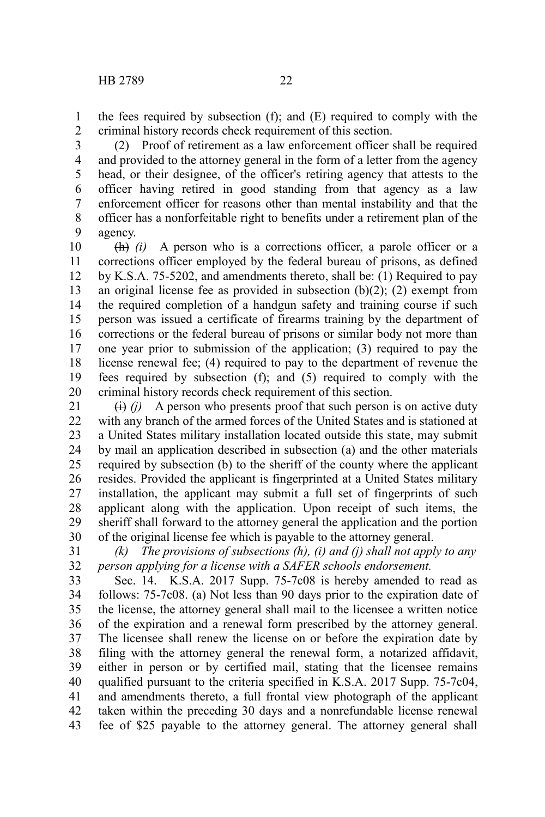the fees required by subsection (f); and (E) required to comply with the criminal history records check requirement of this section. 1 2

(2) Proof of retirement as a law enforcement officer shall be required and provided to the attorney general in the form of a letter from the agency head, or their designee, of the officer's retiring agency that attests to the officer having retired in good standing from that agency as a law enforcement officer for reasons other than mental instability and that the officer has a nonforfeitable right to benefits under a retirement plan of the agency. 3 4 5 6 7 8 9

(h) *(i)* A person who is a corrections officer, a parole officer or a corrections officer employed by the federal bureau of prisons, as defined by K.S.A. 75-5202, and amendments thereto, shall be: (1) Required to pay an original license fee as provided in subsection (b)(2); (2) exempt from the required completion of a handgun safety and training course if such person was issued a certificate of firearms training by the department of corrections or the federal bureau of prisons or similar body not more than one year prior to submission of the application; (3) required to pay the license renewal fee; (4) required to pay to the department of revenue the fees required by subsection (f); and (5) required to comply with the criminal history records check requirement of this section. 10 11 12 13 14 15 16 17 18 19 20

 $(i)$  A person who presents proof that such person is on active duty with any branch of the armed forces of the United States and is stationed at a United States military installation located outside this state, may submit by mail an application described in subsection (a) and the other materials required by subsection (b) to the sheriff of the county where the applicant resides. Provided the applicant is fingerprinted at a United States military installation, the applicant may submit a full set of fingerprints of such applicant along with the application. Upon receipt of such items, the sheriff shall forward to the attorney general the application and the portion of the original license fee which is payable to the attorney general. 21 22 23 24 25 26 27 28 29 30

*(k) The provisions of subsections (h), (i) and (j) shall not apply to any person applying for a license with a SAFER schools endorsement.* 31 32

Sec. 14. K.S.A. 2017 Supp. 75-7c08 is hereby amended to read as follows: 75-7c08. (a) Not less than 90 days prior to the expiration date of the license, the attorney general shall mail to the licensee a written notice of the expiration and a renewal form prescribed by the attorney general. The licensee shall renew the license on or before the expiration date by filing with the attorney general the renewal form, a notarized affidavit, either in person or by certified mail, stating that the licensee remains qualified pursuant to the criteria specified in K.S.A. 2017 Supp. 75-7c04, and amendments thereto, a full frontal view photograph of the applicant taken within the preceding 30 days and a nonrefundable license renewal fee of \$25 payable to the attorney general. The attorney general shall 33 34 35 36 37 38 39 40 41 42 43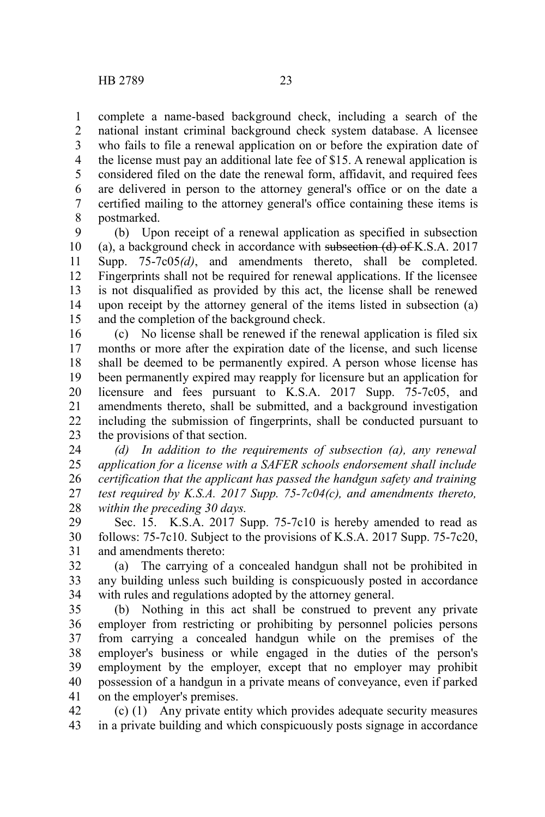complete a name-based background check, including a search of the national instant criminal background check system database. A licensee who fails to file a renewal application on or before the expiration date of the license must pay an additional late fee of \$15. A renewal application is considered filed on the date the renewal form, affidavit, and required fees are delivered in person to the attorney general's office or on the date a certified mailing to the attorney general's office containing these items is postmarked. 1 2 3 4 5 6 7 8

(b) Upon receipt of a renewal application as specified in subsection (a), a background check in accordance with subsection  $(d)$  of K.S.A. 2017 Supp. 75-7c05*(d)*, and amendments thereto, shall be completed. Fingerprints shall not be required for renewal applications. If the licensee is not disqualified as provided by this act, the license shall be renewed upon receipt by the attorney general of the items listed in subsection (a) and the completion of the background check. 9 10 11 12 13 14 15

(c) No license shall be renewed if the renewal application is filed six months or more after the expiration date of the license, and such license shall be deemed to be permanently expired. A person whose license has been permanently expired may reapply for licensure but an application for licensure and fees pursuant to K.S.A. 2017 Supp. 75-7c05, and amendments thereto, shall be submitted, and a background investigation including the submission of fingerprints, shall be conducted pursuant to the provisions of that section. 16 17 18 19 20 21 22 23

*(d) In addition to the requirements of subsection (a), any renewal application for a license with a SAFER schools endorsement shall include certification that the applicant has passed the handgun safety and training test required by K.S.A. 2017 Supp. 75-7c04(c), and amendments thereto, within the preceding 30 days.* 24 25 26 27 28

Sec. 15. K.S.A. 2017 Supp. 75-7c10 is hereby amended to read as follows: 75-7c10. Subject to the provisions of K.S.A. 2017 Supp. 75-7c20, and amendments thereto: 29 30 31

(a) The carrying of a concealed handgun shall not be prohibited in any building unless such building is conspicuously posted in accordance with rules and regulations adopted by the attorney general. 32 33 34

(b) Nothing in this act shall be construed to prevent any private employer from restricting or prohibiting by personnel policies persons from carrying a concealed handgun while on the premises of the employer's business or while engaged in the duties of the person's employment by the employer, except that no employer may prohibit possession of a handgun in a private means of conveyance, even if parked on the employer's premises. 35 36 37 38 39 40 41

(c) (1) Any private entity which provides adequate security measures in a private building and which conspicuously posts signage in accordance 42 43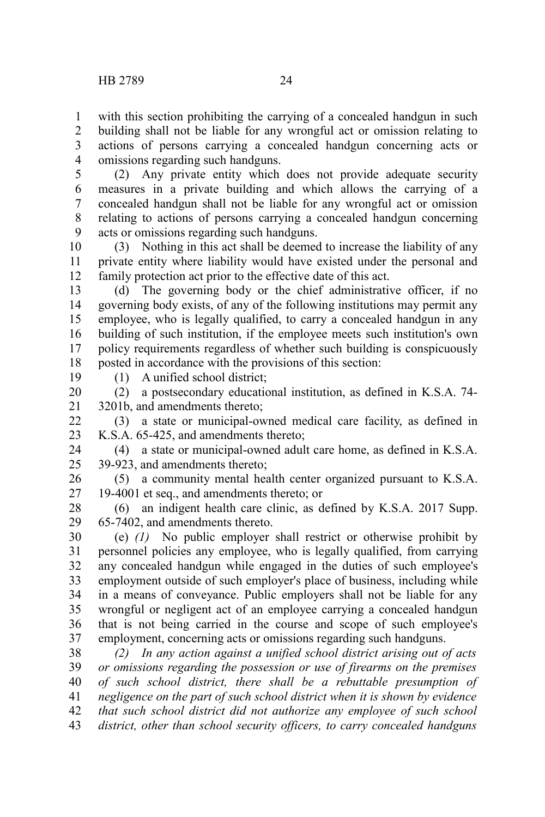with this section prohibiting the carrying of a concealed handgun in such building shall not be liable for any wrongful act or omission relating to actions of persons carrying a concealed handgun concerning acts or omissions regarding such handguns. 1 2 3 4

(2) Any private entity which does not provide adequate security measures in a private building and which allows the carrying of a concealed handgun shall not be liable for any wrongful act or omission relating to actions of persons carrying a concealed handgun concerning acts or omissions regarding such handguns. 5 6 7 8 9

(3) Nothing in this act shall be deemed to increase the liability of any private entity where liability would have existed under the personal and family protection act prior to the effective date of this act. 10 11 12

(d) The governing body or the chief administrative officer, if no governing body exists, of any of the following institutions may permit any employee, who is legally qualified, to carry a concealed handgun in any building of such institution, if the employee meets such institution's own policy requirements regardless of whether such building is conspicuously posted in accordance with the provisions of this section: 13 14 15 16 17 18

19

(1) A unified school district;

(2) a postsecondary educational institution, as defined in K.S.A. 74- 3201b, and amendments thereto; 20 21

(3) a state or municipal-owned medical care facility, as defined in K.S.A. 65-425, and amendments thereto; 22 23

(4) a state or municipal-owned adult care home, as defined in K.S.A. 39-923, and amendments thereto; 24 25

(5) a community mental health center organized pursuant to K.S.A. 19-4001 et seq., and amendments thereto; or 26 27

(6) an indigent health care clinic, as defined by K.S.A. 2017 Supp. 65-7402, and amendments thereto. 28 29

(e) *(1)* No public employer shall restrict or otherwise prohibit by personnel policies any employee, who is legally qualified, from carrying any concealed handgun while engaged in the duties of such employee's employment outside of such employer's place of business, including while in a means of conveyance. Public employers shall not be liable for any wrongful or negligent act of an employee carrying a concealed handgun that is not being carried in the course and scope of such employee's employment, concerning acts or omissions regarding such handguns. 30 31 32 33 34 35 36 37

*(2) In any action against a unified school district arising out of acts or omissions regarding the possession or use of firearms on the premises of such school district, there shall be a rebuttable presumption of negligence on the part of such school district when it is shown by evidence that such school district did not authorize any employee of such school district, other than school security officers, to carry concealed handguns* 38 39 40 41 42 43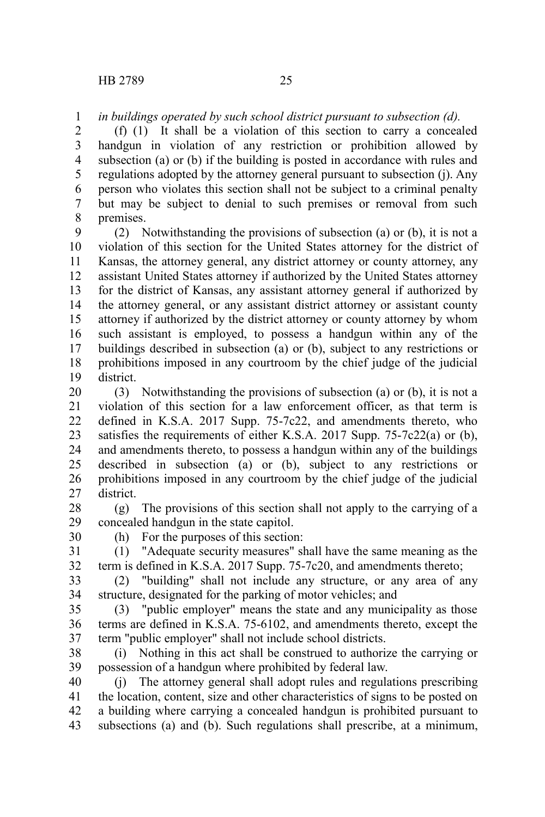*in buildings operated by such school district pursuant to subsection (d).* 1

(f) (1) It shall be a violation of this section to carry a concealed handgun in violation of any restriction or prohibition allowed by subsection (a) or (b) if the building is posted in accordance with rules and regulations adopted by the attorney general pursuant to subsection (j). Any person who violates this section shall not be subject to a criminal penalty but may be subject to denial to such premises or removal from such premises. 2 3 4 5 6 7 8

(2) Notwithstanding the provisions of subsection (a) or (b), it is not a violation of this section for the United States attorney for the district of Kansas, the attorney general, any district attorney or county attorney, any assistant United States attorney if authorized by the United States attorney for the district of Kansas, any assistant attorney general if authorized by the attorney general, or any assistant district attorney or assistant county attorney if authorized by the district attorney or county attorney by whom such assistant is employed, to possess a handgun within any of the buildings described in subsection (a) or (b), subject to any restrictions or prohibitions imposed in any courtroom by the chief judge of the judicial district. 9 10 11 12 13 14 15 16 17 18 19

(3) Notwithstanding the provisions of subsection (a) or (b), it is not a violation of this section for a law enforcement officer, as that term is defined in K.S.A. 2017 Supp. 75-7c22, and amendments thereto, who satisfies the requirements of either K.S.A. 2017 Supp. 75-7c22(a) or (b), and amendments thereto, to possess a handgun within any of the buildings described in subsection (a) or (b), subject to any restrictions or prohibitions imposed in any courtroom by the chief judge of the judicial district. 20 21 22 23 24 25 26 27

(g) The provisions of this section shall not apply to the carrying of a concealed handgun in the state capitol. 28 29

30 31 (h) For the purposes of this section: (1) "Adequate security measures" shall have the same meaning as the

term is defined in K.S.A. 2017 Supp. 75-7c20, and amendments thereto; 32

(2) "building" shall not include any structure, or any area of any structure, designated for the parking of motor vehicles; and 33 34

(3) "public employer" means the state and any municipality as those terms are defined in K.S.A. 75-6102, and amendments thereto, except the term "public employer" shall not include school districts. 35 36 37

(i) Nothing in this act shall be construed to authorize the carrying or possession of a handgun where prohibited by federal law. 38 39

(j) The attorney general shall adopt rules and regulations prescribing the location, content, size and other characteristics of signs to be posted on a building where carrying a concealed handgun is prohibited pursuant to subsections (a) and (b). Such regulations shall prescribe, at a minimum, 40 41 42 43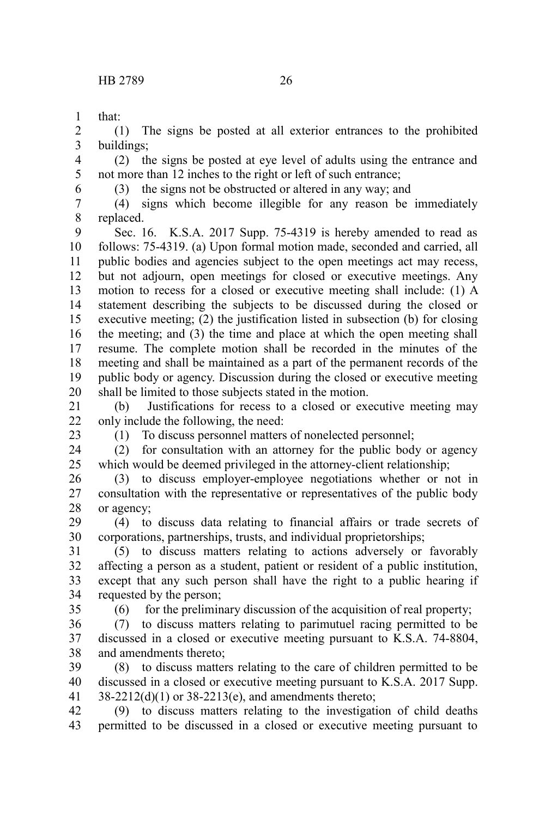that: 1

6

(1) The signs be posted at all exterior entrances to the prohibited buildings; 2 3

(2) the signs be posted at eye level of adults using the entrance and not more than 12 inches to the right or left of such entrance; 4 5

(3) the signs not be obstructed or altered in any way; and

(4) signs which become illegible for any reason be immediately replaced. 7 8

Sec. 16. K.S.A. 2017 Supp. 75-4319 is hereby amended to read as follows: 75-4319. (a) Upon formal motion made, seconded and carried, all public bodies and agencies subject to the open meetings act may recess, but not adjourn, open meetings for closed or executive meetings. Any motion to recess for a closed or executive meeting shall include: (1) A statement describing the subjects to be discussed during the closed or executive meeting; (2) the justification listed in subsection (b) for closing the meeting; and (3) the time and place at which the open meeting shall resume. The complete motion shall be recorded in the minutes of the meeting and shall be maintained as a part of the permanent records of the public body or agency. Discussion during the closed or executive meeting shall be limited to those subjects stated in the motion. 9 10 11 12 13 14 15 16 17 18 19 20

(b) Justifications for recess to a closed or executive meeting may only include the following, the need: 21  $22$ 

23

(1) To discuss personnel matters of nonelected personnel;

(2) for consultation with an attorney for the public body or agency which would be deemed privileged in the attorney-client relationship; 24 25

(3) to discuss employer-employee negotiations whether or not in consultation with the representative or representatives of the public body or agency; 26 27 28

(4) to discuss data relating to financial affairs or trade secrets of corporations, partnerships, trusts, and individual proprietorships; 29 30

(5) to discuss matters relating to actions adversely or favorably affecting a person as a student, patient or resident of a public institution, except that any such person shall have the right to a public hearing if requested by the person; 31 32 33 34

35

(6) for the preliminary discussion of the acquisition of real property;

(7) to discuss matters relating to parimutuel racing permitted to be discussed in a closed or executive meeting pursuant to K.S.A. 74-8804, and amendments thereto; 36 37 38

(8) to discuss matters relating to the care of children permitted to be discussed in a closed or executive meeting pursuant to K.S.A. 2017 Supp.  $38-2212(d)(1)$  or  $38-2213(e)$ , and amendments thereto; 39 40 41

(9) to discuss matters relating to the investigation of child deaths permitted to be discussed in a closed or executive meeting pursuant to 42 43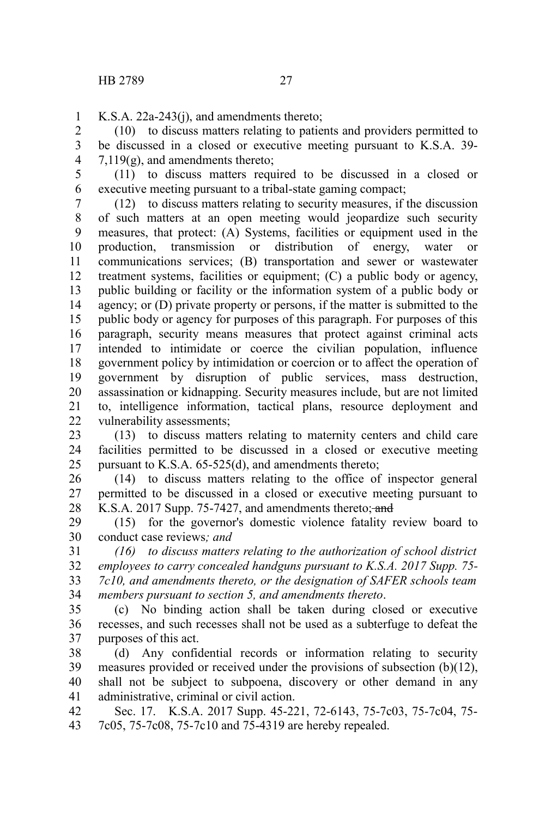K.S.A. 22a-243(j), and amendments thereto; 1

(10) to discuss matters relating to patients and providers permitted to be discussed in a closed or executive meeting pursuant to K.S.A. 39-  $7,119(g)$ , and amendments thereto; 2 3 4

(11) to discuss matters required to be discussed in a closed or executive meeting pursuant to a tribal-state gaming compact; 5 6

(12) to discuss matters relating to security measures, if the discussion of such matters at an open meeting would jeopardize such security measures, that protect: (A) Systems, facilities or equipment used in the production, transmission or distribution of energy, water or communications services; (B) transportation and sewer or wastewater treatment systems, facilities or equipment; (C) a public body or agency, public building or facility or the information system of a public body or agency; or (D) private property or persons, if the matter is submitted to the public body or agency for purposes of this paragraph. For purposes of this paragraph, security means measures that protect against criminal acts intended to intimidate or coerce the civilian population, influence government policy by intimidation or coercion or to affect the operation of government by disruption of public services, mass destruction, assassination or kidnapping. Security measures include, but are not limited to, intelligence information, tactical plans, resource deployment and vulnerability assessments; 7 8 9 10 11 12 13 14 15 16 17 18 19 20 21 22

(13) to discuss matters relating to maternity centers and child care facilities permitted to be discussed in a closed or executive meeting pursuant to K.S.A. 65-525(d), and amendments thereto; 23 24 25

(14) to discuss matters relating to the office of inspector general permitted to be discussed in a closed or executive meeting pursuant to K.S.A. 2017 Supp. 75-7427, and amendments thereto; and 26 27 28

(15) for the governor's domestic violence fatality review board to conduct case reviews*; and* 29 30

*(16) to discuss matters relating to the authorization of school district employees to carry concealed handguns pursuant to K.S.A. 2017 Supp. 75- 7c10, and amendments thereto, or the designation of SAFER schools team members pursuant to section 5, and amendments thereto*. 31 32 33 34

(c) No binding action shall be taken during closed or executive recesses, and such recesses shall not be used as a subterfuge to defeat the purposes of this act. 35 36 37

(d) Any confidential records or information relating to security measures provided or received under the provisions of subsection (b)(12), shall not be subject to subpoena, discovery or other demand in any administrative, criminal or civil action. 38 39 40 41

Sec. 17. K.S.A. 2017 Supp. 45-221, 72-6143, 75-7c03, 75-7c04, 75- 7c05, 75-7c08, 75-7c10 and 75-4319 are hereby repealed. 42 43